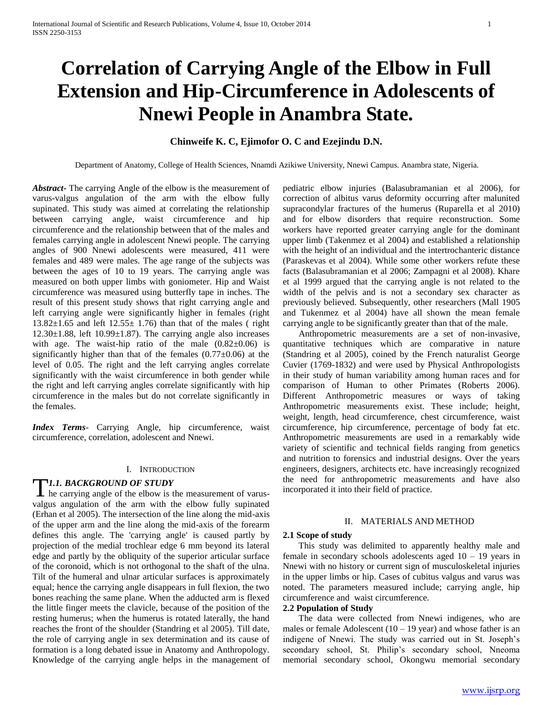# **Correlation of Carrying Angle of the Elbow in Full Extension and Hip-Circumference in Adolescents of Nnewi People in Anambra State.**

## **Chinweife K. C, Ejimofor O. C and Ezejindu D.N.**

Department of Anatomy, College of Health Sciences, Nnamdi Azikiwe University, Nnewi Campus. Anambra state, Nigeria.

*Abstract***-** The carrying Angle of the elbow is the measurement of varus-valgus angulation of the arm with the elbow fully supinated. This study was aimed at correlating the relationship between carrying angle, waist circumference and hip circumference and the relationship between that of the males and females carrying angle in adolescent Nnewi people. The carrying angles of 900 Nnewi adolescents were measured, 411 were females and 489 were males. The age range of the subjects was between the ages of 10 to 19 years. The carrying angle was measured on both upper limbs with goniometer. Hip and Waist circumference was measured using butterfly tape in inches. The result of this present study shows that right carrying angle and left carrying angle were significantly higher in females (right  $13.82\pm1.65$  and left  $12.55\pm1.76$ ) than that of the males (right  $12.30\pm1.88$ , left  $10.99\pm1.87$ ). The carrying angle also increases with age. The waist-hip ratio of the male  $(0.82\pm0.06)$  is significantly higher than that of the females  $(0.77\pm0.06)$  at the level of 0.05. The right and the left carrying angles correlate significantly with the waist circumference in both gender while the right and left carrying angles correlate significantly with hip circumference in the males but do not correlate significantly in the females.

*Index Terms*- Carrying Angle, hip circumference, waist circumference, correlation, adolescent and Nnewi.

#### I. INTRODUCTION

## *1.1. BACKGROUND OF STUDY*

TI.1. BACKGROUND OF STUDY<br>he carrying angle of the elbow is the measurement of varusvalgus angulation of the arm with the elbow fully supinated (Erhan et al 2005). The intersection of the line along the mid-axis of the upper arm and the line along the mid-axis of the forearm defines this angle. The 'carrying angle' is caused partly by projection of the medial trochlear edge 6 mm beyond its lateral edge and partly by the obliquity of the superior articular surface of the coronoid, which is not orthogonal to the shaft of the ulna. Tilt of the humeral and ulnar articular surfaces is approximately equal; hence the carrying angle disappears in full flexion, the two bones reaching the same plane. When the adducted arm is flexed the little finger meets the clavicle, because of the position of the resting humerus; when the humerus is rotated laterally, the hand reaches the front of the shoulder (Standring et al 2005). Till date, the role of carrying angle in sex determination and its cause of formation is a long debated issue in Anatomy and Anthropology. Knowledge of the carrying angle helps in the management of pediatric elbow injuries (Balasubramanian et al 2006), for correction of albitus varus deformity occurring after malunited supracondylar fractures of the humerus (Ruparella et al 2010) and for elbow disorders that require reconstruction. Some workers have reported greater carrying angle for the dominant upper limb (Takenmez et al 2004) and established a relationship with the height of an individual and the intertrochanteric distance (Paraskevas et al 2004). While some other workers refute these facts (Balasubramanian et al 2006; Zampagni et al 2008). Khare et al 1999 argued that the carrying angle is not related to the width of the pelvis and is not a secondary sex character as previously believed. Subsequently, other researchers (Mall 1905 and Tukenmez et al 2004) have all shown the mean female carrying angle to be significantly greater than that of the male.

 Anthropometric measurements are a set of non-invasive, quantitative techniques which are comparative in nature (Standring et al 2005), coined by the French naturalist George Cuvier (1769-1832) and were used by Physical Anthropologists in their study of human variability among human races and for comparison of Human to other Primates (Roberts 2006). Different Anthropometric measures or ways of taking Anthropometric measurements exist. These include; height, weight, length, head circumference, chest circumference, waist circumference, hip circumference, percentage of body fat etc. Anthropometric measurements are used in a remarkably wide variety of scientific and technical fields ranging from genetics and nutrition to forensics and industrial designs. Over the years engineers, designers, architects etc. have increasingly recognized the need for anthropometric measurements and have also incorporated it into their field of practice.

## II. MATERIALS AND METHOD

#### **2.1 Scope of study**

 This study was delimited to apparently healthy male and female in secondary schools adolescents aged  $10 - 19$  years in Nnewi with no history or current sign of musculoskeletal injuries in the upper limbs or hip. Cases of cubitus valgus and varus was noted. The parameters measured include; carrying angle, hip circumference and waist circumference.

## **2.2 Population of Study**

 The data were collected from Nnewi indigenes, who are males or female Adolescent  $(10 - 19$  year) and whose father is an indigene of Nnewi. The study was carried out in St. Joseph's secondary school, St. Philip's secondary school, Nneoma memorial secondary school, Okongwu memorial secondary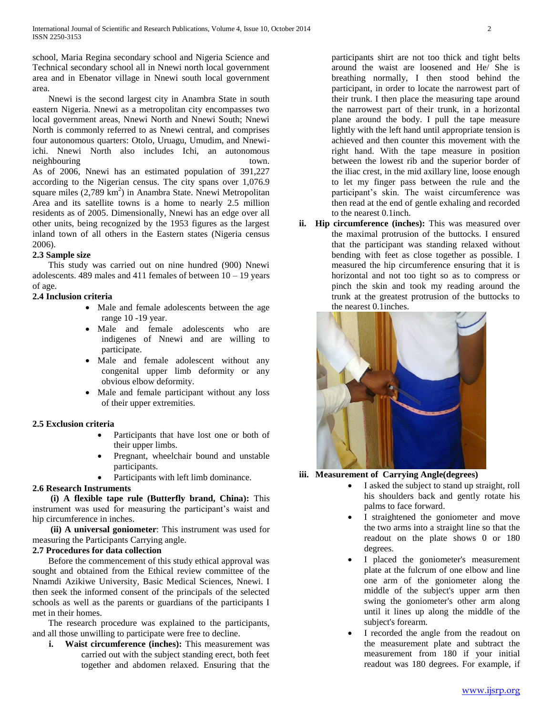school, Maria Regina secondary school and Nigeria Science and Technical secondary school all in Nnewi north local government area and in Ebenator village in Nnewi south local government area.

 Nnewi is the second largest city in Anambra State in south eastern Nigeria. Nnewi as a metropolitan city encompasses two local government areas, Nnewi North and Nnewi South; Nnewi North is commonly referred to as Nnewi central, and comprises four autonomous quarters: Otolo, Uruagu, Umudim, and Nnewiichi. Nnewi North also includes Ichi, an autonomous neighbouring town. As of 2006, Nnewi has an estimated population of 391,227 according to the Nigerian census. The city spans over 1,076.9 square miles (2,789 km<sup>2</sup>) in Anambra State. Nnewi Metropolitan Area and its satellite towns is a home to nearly 2.5 million residents as of 2005. Dimensionally, Nnewi has an edge over all other units, being recognized by the 1953 figures as the largest inland town of all others in the Eastern states (Nigeria census 2006).

## **2.3 Sample size**

 This study was carried out on nine hundred (900) Nnewi adolescents. 489 males and 411 females of between  $10 - 19$  years of age.

## **2.4 Inclusion criteria**

- Male and female adolescents between the age range 10 -19 year.
- Male and female adolescents who are indigenes of Nnewi and are willing to participate.
- Male and female adolescent without any congenital upper limb deformity or any obvious elbow deformity.
- Male and female participant without any loss of their upper extremities.

## **2.5 Exclusion criteria**

- Participants that have lost one or both of their upper limbs.
- Pregnant, wheelchair bound and unstable participants.
- Participants with left limb dominance.

## **2.6 Research Instruments**

 **(i) A flexible tape rule (Butterfly brand, China):** This instrument was used for measuring the participant's waist and hip circumference in inches.

 **(ii) A universal goniometer**: This instrument was used for measuring the Participants Carrying angle.

## **2.7 Procedures for data collection**

 Before the commencement of this study ethical approval was sought and obtained from the Ethical review committee of the Nnamdi Azikiwe University, Basic Medical Sciences, Nnewi. I then seek the informed consent of the principals of the selected schools as well as the parents or guardians of the participants I met in their homes.

 The research procedure was explained to the participants, and all those unwilling to participate were free to decline.

**i. Waist circumference (inches):** This measurement was carried out with the subject standing erect, both feet together and abdomen relaxed. Ensuring that the participants shirt are not too thick and tight belts around the waist are loosened and He/ She is breathing normally, I then stood behind the participant, in order to locate the narrowest part of their trunk. I then place the measuring tape around the narrowest part of their trunk, in a horizontal plane around the body. I pull the tape measure lightly with the left hand until appropriate tension is achieved and then counter this movement with the right hand. With the tape measure in position between the lowest rib and the superior border of the iliac crest, in the mid axillary line, loose enough to let my finger pass between the rule and the participant's skin. The waist circumference was then read at the end of gentle exhaling and recorded to the nearest 0.1inch.

**ii. Hip circumference (inches):** This was measured over the maximal protrusion of the buttocks. I ensured that the participant was standing relaxed without bending with feet as close together as possible. I measured the hip circumference ensuring that it is horizontal and not too tight so as to compress or pinch the skin and took my reading around the trunk at the greatest protrusion of the buttocks to the nearest 0.1inches.



## **iii. Measurement of Carrying Angle(degrees)**

- I asked the subject to stand up straight, roll his shoulders back and gently rotate his palms to face forward.
- I straightened the goniometer and move the two arms into a straight line so that the readout on the plate shows 0 or 180 degrees.
- I placed the goniometer's measurement plate at the fulcrum of one elbow and line one arm of the goniometer along the middle of the subject's upper arm then swing the goniometer's other arm along until it lines up along the middle of the subject's forearm.
- I recorded the angle from the readout on the measurement plate and subtract the measurement from 180 if your initial readout was 180 degrees. For example, if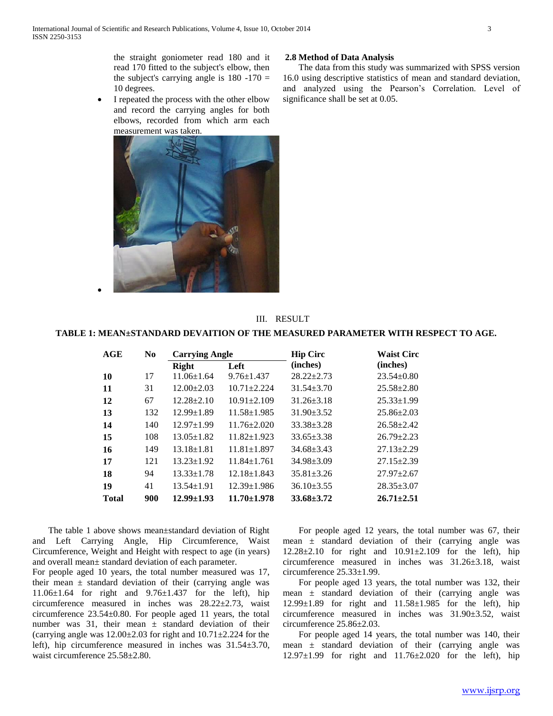the straight goniometer read 180 and it read 170 fitted to the subject's elbow, then the subject's carrying angle is  $180 - 170 =$ 10 degrees.

• I repeated the process with the other elbow and record the carrying angles for both elbows, recorded from which arm each measurement was taken.



#### **2.8 Method of Data Analysis**

 The data from this study was summarized with SPSS version 16.0 using descriptive statistics of mean and standard deviation, and analyzed using the Pearson's Correlation. Level of significance shall be set at 0.05.

# III. RESULT

## **TABLE 1: MEAN±STANDARD DEVAITION OF THE MEASURED PARAMETER WITH RESPECT TO AGE.**

| AGE          | N <sub>0</sub> | <b>Carrying Angle</b> |                   | <b>Hip Circ</b>  | <b>Waist Circ</b> |
|--------------|----------------|-----------------------|-------------------|------------------|-------------------|
|              |                | <b>Right</b>          | Left              | (inches)         | (inches)          |
| 10           | 17             | $11.06 \pm 1.64$      | $9.76 \pm 1.437$  | $28.22 \pm 2.73$ | $23.54 \pm 0.80$  |
| 11           | 31             | $12.00 \pm 2.03$      | $10.71 + 2.224$   | $31.54 + 3.70$   | $25.58 \pm 2.80$  |
| 12           | 67             | $12.28 \pm 2.10$      | $10.91 \pm 2.109$ | $31.26 \pm 3.18$ | $25.33 \pm 1.99$  |
| 13           | 132            | $12.99 \pm 1.89$      | $11.58 \pm 1.985$ | $31.90 \pm 3.52$ | $25.86 \pm 2.03$  |
| 14           | 140            | $12.97 \pm 1.99$      | $11.76 \pm 2.020$ | $33.38 + 3.28$   | $26.58 \pm 2.42$  |
| 15           | 108            | $13.05 \pm 1.82$      | $11.82 \pm 1.923$ | $33.65 \pm 3.38$ | $26.79 \pm 2.23$  |
| 16           | 149            | $13.18 \pm 1.81$      | $11.81 \pm 1.897$ | $34.68 + 3.43$   | $27.13 \pm 2.29$  |
| 17           | 121            | $13.23 \pm 1.92$      | $11.84 \pm 1.761$ | $34.98 \pm 3.09$ | $27.15 \pm 2.39$  |
| 18           | 94             | $13.33 \pm 1.78$      | $12.18 \pm 1.843$ | $35.81 \pm 3.26$ | $27.97 \pm 2.67$  |
| 19           | 41             | $13.54 \pm 1.91$      | $12.39 \pm 1.986$ | $36.10 \pm 3.55$ | $28.35 \pm 3.07$  |
| <b>Total</b> | 900            | $12.99 \pm 1.93$      | $11.70 \pm 1.978$ | $33.68 \pm 3.72$ | $26.71 \pm 2.51$  |

 The table 1 above shows mean±standard deviation of Right and Left Carrying Angle, Hip Circumference, Waist Circumference, Weight and Height with respect to age (in years) and overall mean± standard deviation of each parameter.

 $\bullet$ 

For people aged 10 years, the total number measured was 17, their mean  $\pm$  standard deviation of their (carrying angle was 11.06±1.64 for right and 9.76±1.437 for the left), hip circumference measured in inches was 28.22±2.73, waist circumference 23.54±0.80. For people aged 11 years, the total number was 31, their mean  $\pm$  standard deviation of their (carrying angle was  $12.00\pm2.03$  for right and  $10.71\pm2.224$  for the left), hip circumference measured in inches was 31.54±3.70, waist circumference 25.58±2.80.

 For people aged 12 years, the total number was 67, their mean  $\pm$  standard deviation of their (carrying angle was 12.28±2.10 for right and 10.91±2.109 for the left), hip circumference measured in inches was 31.26±3.18, waist circumference 25.33±1.99.

 For people aged 13 years, the total number was 132, their mean  $\pm$  standard deviation of their (carrying angle was  $12.99 \pm 1.89$  for right and  $11.58 \pm 1.985$  for the left), hip circumference measured in inches was 31.90±3.52, waist circumference 25.86±2.03.

 For people aged 14 years, the total number was 140, their mean  $\pm$  standard deviation of their (carrying angle was 12.97±1.99 for right and 11.76±2.020 for the left), hip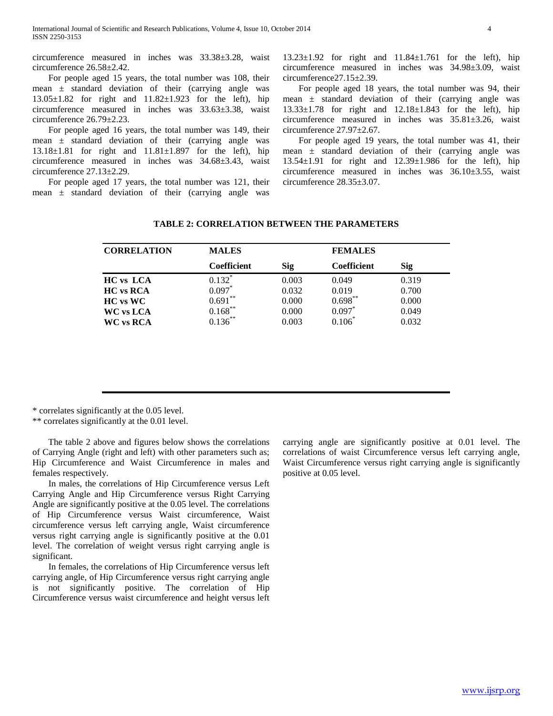circumference measured in inches was 33.38±3.28, waist circumference 26.58±2.42.

 For people aged 15 years, the total number was 108, their mean ± standard deviation of their (carrying angle was 13.05±1.82 for right and 11.82±1.923 for the left), hip circumference measured in inches was 33.63±3.38, waist circumference 26.79±2.23.

 For people aged 16 years, the total number was 149, their mean  $\pm$  standard deviation of their (carrying angle was 13.18±1.81 for right and 11.81±1.897 for the left), hip circumference measured in inches was 34.68±3.43, waist circumference 27.13±2.29.

 For people aged 17 years, the total number was 121, their mean ± standard deviation of their (carrying angle was

13.23±1.92 for right and 11.84±1.761 for the left), hip circumference measured in inches was 34.98±3.09, waist circumference27.15±2.39.

 For people aged 18 years, the total number was 94, their mean ± standard deviation of their (carrying angle was 13.33±1.78 for right and 12.18±1.843 for the left), hip circumference measured in inches was 35.81±3.26, waist circumference 27.97±2.67.

 For people aged 19 years, the total number was 41, their mean ± standard deviation of their (carrying angle was 13.54±1.91 for right and 12.39±1.986 for the left), hip circumference measured in inches was 36.10±3.55, waist circumference 28.35±3.07.

| <b>CORRELATION</b>      | <b>MALES</b>       |       | <b>FEMALES</b>     |            |  |
|-------------------------|--------------------|-------|--------------------|------------|--|
|                         | <b>Coefficient</b> | Sig   | <b>Coefficient</b> | <b>Sig</b> |  |
| <b>HC</b> vs LCA        | $0.132$ *          | 0.003 | 0.049              | 0.319      |  |
| <b>HC</b> vs RCA        | $0.097*$           | 0.032 | 0.019              | 0.700      |  |
| $HC$ vs $WC$            | $0.691***$         | 0.000 | $0.698**$          | 0.000      |  |
| <b>WC</b> vs <b>LCA</b> | $0.168***$         | 0.000 | $0.097*$           | 0.049      |  |
| <b>WC vs RCA</b>        | $0.136***$         | 0.003 |                    | 0.032      |  |
|                         |                    |       |                    |            |  |

#### **TABLE 2: CORRELATION BETWEEN THE PARAMETERS**

\* correlates significantly at the 0.05 level.

\*\* correlates significantly at the 0.01 level.

 The table 2 above and figures below shows the correlations of Carrying Angle (right and left) with other parameters such as; Hip Circumference and Waist Circumference in males and females respectively.

 In males, the correlations of Hip Circumference versus Left Carrying Angle and Hip Circumference versus Right Carrying Angle are significantly positive at the 0.05 level. The correlations of Hip Circumference versus Waist circumference, Waist circumference versus left carrying angle, Waist circumference versus right carrying angle is significantly positive at the 0.01 level. The correlation of weight versus right carrying angle is significant.

 In females, the correlations of Hip Circumference versus left carrying angle, of Hip Circumference versus right carrying angle is not significantly positive. The correlation of Hip Circumference versus waist circumference and height versus left carrying angle are significantly positive at 0.01 level. The correlations of waist Circumference versus left carrying angle, Waist Circumference versus right carrying angle is significantly positive at 0.05 level.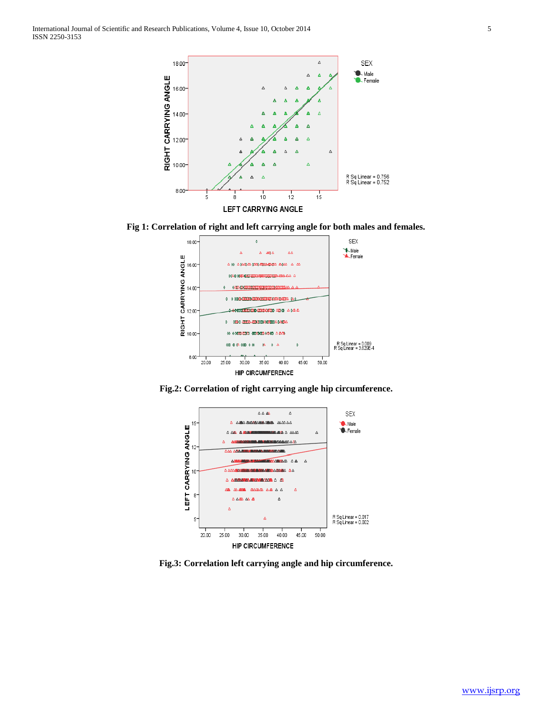International Journal of Scientific and Research Publications, Volume 4, Issue 10, October 2014 5 ISSN 2250-3153



**Fig 1: Correlation of right and left carrying angle for both males and females.**



**Fig.2: Correlation of right carrying angle hip circumference.**



**Fig.3: Correlation left carrying angle and hip circumference.**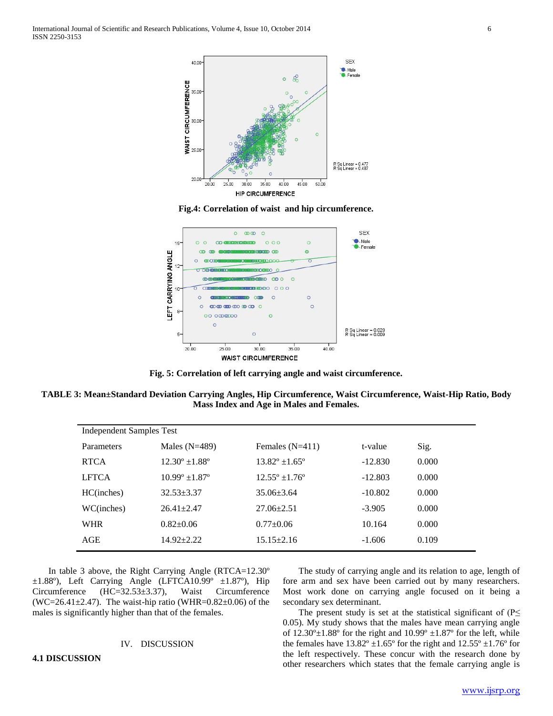International Journal of Scientific and Research Publications, Volume 4, Issue 10, October 2014 6 ISSN 2250-3153



**Fig.4: Correlation of waist and hip circumference.**



**Fig. 5: Correlation of left carrying angle and waist circumference.**

**TABLE 3: Mean±Standard Deviation Carrying Angles, Hip Circumference, Waist Circumference, Waist-Hip Ratio, Body Mass Index and Age in Males and Females.**

| <b>Independent Samples Test</b> |                         |                         |           |       |  |  |  |  |
|---------------------------------|-------------------------|-------------------------|-----------|-------|--|--|--|--|
| Parameters                      | Males $(N=489)$         | Females $(N=411)$       | t-value   | Sig.  |  |  |  |  |
| <b>RTCA</b>                     | $12.30^{\circ}$ ± 1.88° | $13.82^{\circ}$ ± 1.65° | $-12.830$ | 0.000 |  |  |  |  |
| <b>LFTCA</b>                    | $10.99^{\circ}$ ± 1.87° | $12.55^{\circ}$ ±1.76°  | $-12.803$ | 0.000 |  |  |  |  |
| HC(inches)                      | $32.53 + 3.37$          | $35.06 \pm 3.64$        | $-10.802$ | 0.000 |  |  |  |  |
| WC(inches)                      | $26.41 \pm 2.47$        | $27.06 \pm 2.51$        | $-3.905$  | 0.000 |  |  |  |  |
| <b>WHR</b>                      | $0.82+0.06$             | $0.77+0.06$             | 10.164    | 0.000 |  |  |  |  |
| AGE                             | $14.92 \pm 2.22$        | $15.15 \pm 2.16$        | $-1.606$  | 0.109 |  |  |  |  |

 In table 3 above, the Right Carrying Angle (RTCA=12.30º  $\pm 1.88^\circ$ ), Left Carrying Angle (LFTCA10.99°  $\pm 1.87^\circ$ ), Hip Circumference (HC=32.53±3.37), Waist Circumference (WC=26.41 $\pm$ 2.47). The waist-hip ratio (WHR=0.82 $\pm$ 0.06) of the males is significantly higher than that of the females.

#### IV. DISCUSSION

**4.1 DISCUSSION**

## The study of carrying angle and its relation to age, length of fore arm and sex have been carried out by many researchers. Most work done on carrying angle focused on it being a secondary sex determinant.

The present study is set at the statistical significant of ( $P \leq$ 0.05). My study shows that the males have mean carrying angle of  $12.30^{\circ} \pm 1.88^{\circ}$  for the right and  $10.99^{\circ} \pm 1.87^{\circ}$  for the left, while the females have  $13.82^{\circ} \pm 1.65^{\circ}$  for the right and  $12.55^{\circ} \pm 1.76^{\circ}$  for the left respectively. These concur with the research done by other researchers which states that the female carrying angle is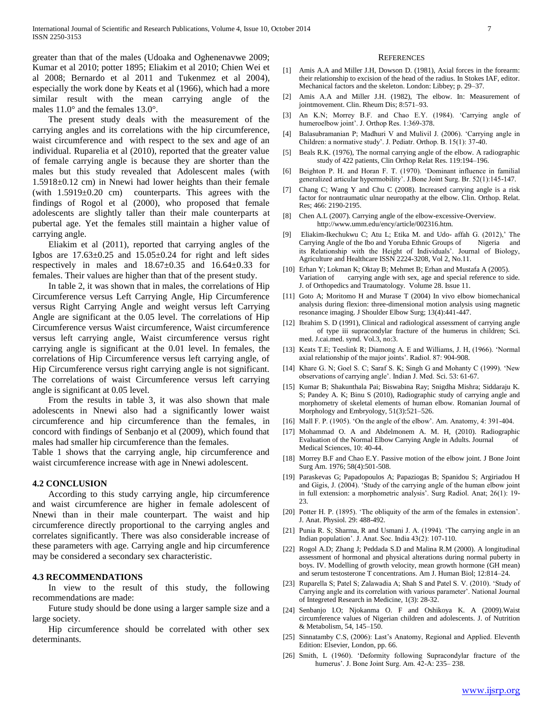greater than that of the males (Udoaka and Oghenenavwe 2009; Kumar et al 2010; potter 1895; Eliakim et al 2010; Chien Wei et al 2008; Bernardo et al 2011 and Tukenmez et al 2004), especially the work done by Keats et al (1966), which had a more similar result with the mean carrying angle of the males 11.0° and the females 13.0°.

 The present study deals with the measurement of the carrying angles and its correlations with the hip circumference, waist circumference and with respect to the sex and age of an individual. Ruparelia et al (2010), reported that the greater value of female carrying angle is because they are shorter than the males but this study revealed that Adolescent males (with 1.5918±0.12 cm) in Nnewi had lower heights than their female (with  $1.5919\pm0.20$  cm) counterparts. This agrees with the findings of Rogol et al (2000), who proposed that female adolescents are slightly taller than their male counterparts at pubertal age. Yet the females still maintain a higher value of carrying angle.

 Eliakim et al (2011), reported that carrying angles of the Igbos are  $17.63\pm0.25$  and  $15.05\pm0.24$  for right and left sides respectively in males and 18.67±0.35 and 16.64±0.33 for females. Their values are higher than that of the present study.

 In table 2, it was shown that in males, the correlations of Hip Circumference versus Left Carrying Angle, Hip Circumference versus Right Carrying Angle and weight versus left Carrying Angle are significant at the 0.05 level. The correlations of Hip Circumference versus Waist circumference, Waist circumference versus left carrying angle, Waist circumference versus right carrying angle is significant at the 0.01 level. In females, the correlations of Hip Circumference versus left carrying angle, of Hip Circumference versus right carrying angle is not significant. The correlations of waist Circumference versus left carrying angle is significant at 0.05 level.

 From the results in table 3, it was also shown that male adolescents in Nnewi also had a significantly lower waist circumference and hip circumference than the females, in concord with findings of Senbanjo et al (2009), which found that males had smaller hip circumference than the females.

Table 1 shows that the carrying angle, hip circumference and waist circumference increase with age in Nnewi adolescent.

#### **4.2 CONCLUSION**

 According to this study carrying angle, hip circumference and waist circumference are higher in female adolescent of Nnewi than in their male counterpart. The waist and hip circumference directly proportional to the carrying angles and correlates significantly. There was also considerable increase of these parameters with age. Carrying angle and hip circumference may be considered a secondary sex characteristic.

#### **4.3 RECOMMENDATIONS**

 In view to the result of this study, the following recommendations are made:

 Future study should be done using a larger sample size and a large society.

 Hip circumference should be correlated with other sex determinants.

#### **REFERENCES**

- [1] Amis A.A and Miller J.H, Dowson D. (1981), Axial forces in the forearm: their relationship to excision of the head of the radius. In Stokes IAF, editor. Mechanical factors and the skeleton. London: Libbey; p. 29–37.
- [2] Amis A.A and Miller J.H. (1982), The elbow. In: Measurement of jointmovement. Clin. Rheum Dis; 8:571–93.
- [3] An K.N; Morrey B.F. and Chao E.Y. (1984). 'Carrying angle of humeroelbow joint'. J. Orthop Res. 1:369-378.
- [4] Balasubramanian P; Madhuri V and Mulivil J. (2006). 'Carrying angle in Children: a normative study'. J. Pediatr. Orthop. B. 15(1): 37-40.
- [5] Beals R.K. (1976), The normal carrying angle of the elbow. A radiographic study of 422 patients, Clin Orthop Relat Res. 119:194–196.
- [6] Beighton P. H. and Horan F. T. (1970). 'Dominant influence in familial generalized articular hypermobility'. J.Bone Joint Surg. Br. 52(1):145-147.
- [7] Chang C; Wang Y and Chu C (2008). Increased carrying angle is a risk factor for nontraumatic ulnar neuropathy at the elbow. Clin. Orthop. Relat. Res; 466: 2190-2195.
- [8] Chen A.L (2007). Carrying angle of the elbow-excessive-Overview. http://www.umm.edu/ency/article/002316.htm.
- [9] Eliakim-Ikechukwu C; Atu L; Etika M. and Udo- affah G. (2012),' The Carrying Angle of the Ibo and Yoruba Ethnic Groups of Nigeria and its Relationship with the Height of Individuals'. Journal of Biology, Agriculture and Healthcare ISSN 2224-3208, Vol 2, No.11.
- [10] Erhan Y; Lokman K; Oktay B; Mehmet B; Erhan and Mustafa A (2005). Variation of carrying angle with sex, age and special reference to side. J. of Orthopedics and Traumatology. Volume 28. Issue 11.
- [11] Goto A; Moritomo H and Murase T (2004) In vivo elbow biomechanical analysis during flexion: three-dimensional motion analysis using magnetic resonance imaging. J Shoulder Elbow Surg; 13(4):441-447.
- [12] Ibrahim S. D (1991), Clinical and radiological assessment of carrying angle of type iii supracondylar fracture of the humerus in children; Sci. med. J.cai.med. synd. Vol.3, no:3.
- [13] Keats T.E; Teeslink R; Diamong A. E and Williams, J. H, (1966). 'Normal axial relationship of the major joints'. Radiol. 87: 904-908.
- [14] Khare G. N; Goel S. C; Saraf S. K; Singh G and Mohanty C (1999). 'New observations of carrying angle'. Indian J. Med. Sci. 53: 61-67.
- [15] Kumar B; Shakunthala Pai; Biswabina Ray; Snigdha Mishra; Siddaraju K. S; Pandey A. K; Binu S (2010), Radiographic study of carrying angle and morphometry of skeletal elements of human elbow. Romanian Journal of Morphology and Embryology, 51(3):521–526.
- [16] Mall F. P. (1905). 'On the angle of the elbow'. Am. Anatomy, 4: 391-404.
- [17] Mohammad O. A and Abdelmonem A. M. H, (2010). Radiographic Evaluation of the Normal Elbow Carrying Angle in Adults. Journal of Medical Sciences, 10: 40-44.
- [18] Morrey B.F and Chao E.Y. Passive motion of the elbow joint. J Bone Joint Surg Am. 1976; 58(4):501-508.
- [19] Paraskevas G; Papadopoulos A; Papaziogas B; Spanidou S; Argiriadou H and Gigis, J. (2004). 'Study of the carrying angle of the human elbow joint in full extension: a morphometric analysis'. Surg Radiol. Anat; 26(1): 19- 23.
- [20] Potter H. P. (1895). 'The obliquity of the arm of the females in extension'. J. Anat. Physiol. 29: 488-492.
- [21] Punia R. S; Sharma, R and Usmani J. A. (1994). 'The carrying angle in an Indian population'. J. Anat. Soc. India 43(2): 107-110.
- [22] Rogol A.D; Zhang J; Peddada S.D and Malina R.M (2000). A longitudinal assessment of hormonal and physical alterations during normal puberty in boys. IV. Modelling of growth velocity, mean growth hormone (GH mean) and serum testosterone T concentrations. Am J. Human Biol; 12:814–24.
- [23] Ruparella S; Patel S; Zalawadia A; Shah S and Patel S. V. (2010). 'Study of Carrying angle and its correlation with various parameter'. National Journal of Integreted Research in Medicine, 1(3): 28-32.
- [24] Senbanjo I.O; Njokanma O. F and Oshikoya K. A (2009).Waist circumference values of Nigerian children and adolescents. J. of Nutrition & Metabolism, 54, 145–150.
- [25] Sinnatamby C.S, (2006): Last's Anatomy, Regional and Applied. Eleventh Edition: Elsevier, London, pp. 66.
- [26] Smith, L (1960). 'Deformity following Supracondylar fracture of the humerus'. J. Bone Joint Surg. Am. 42-A: 235– 238.